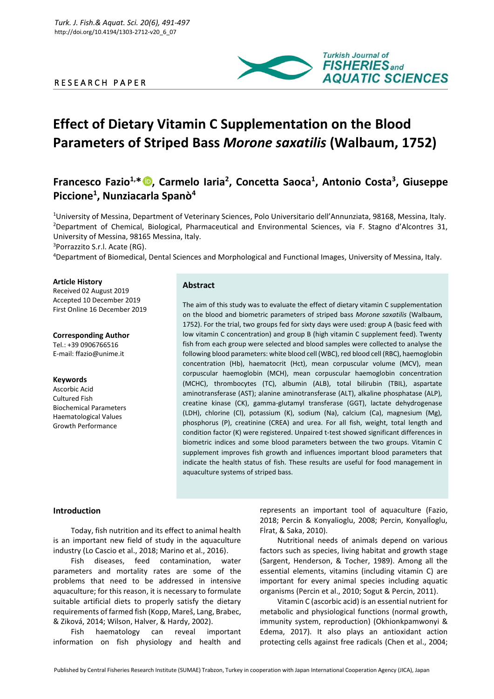### R E S E A R C H P A P E R



# **Effect of Dietary Vitamin C Supplementation on the Blood Parameters of Striped Bass** *Morone saxatilis* **(Walbaum, 1752)**

## **Francesco Fazio1,\* , Carmelo Iaria<sup>2</sup> , Concetta Saoca<sup>1</sup> , Antonio Costa<sup>3</sup> , Giuseppe Piccione<sup>1</sup> , Nunziacarla Spanò<sup>4</sup>**

<sup>1</sup>University of Messina, Department of Veterinary Sciences, Polo Universitario dell'Annunziata, 98168, Messina, Italy. <sup>2</sup>Department of Chemical, Biological, Pharmaceutical and Environmental Sciences, via F. Stagno d'Alcontres 31, University of Messina, 98165 Messina, Italy.

<sup>3</sup>Porrazzito S.r.l. Acate (RG).

<sup>4</sup>Department of Biomedical, Dental Sciences and Morphological and Functional Images, University of Messina, Italy.

#### **Article History**

Received 02 August 2019 Accepted 10 December 2019 First Online 16 December 2019

**Corresponding Author** Tel.: +39 0906766516 E-mail: ffazio@unime.it

#### **Keywords**

Ascorbic Acid Cultured Fish Biochemical Parameters Haematological Values Growth Performance

#### **Abstract**

The aim of this study was to evaluate the effect of dietary vitamin C supplementation on the blood and biometric parameters of striped bass *Morone saxatilis* (Walbaum, 1752). For the trial, two groups fed for sixty days were used: group A (basic feed with low vitamin C concentration) and group B (high vitamin C supplement feed). Twenty fish from each group were selected and blood samples were collected to analyse the following blood parameters: white blood cell (WBC), red blood cell (RBC), haemoglobin concentration (Hb), haematocrit (Hct), mean corpuscular volume (MCV), mean corpuscular haemoglobin (MCH), mean corpuscular haemoglobin concentration (MCHC), thrombocytes (TC), albumin (ALB), total bilirubin (TBIL), aspartate aminotransferase (AST); alanine aminotransferase (ALT), alkaline phosphatase (ALP), creatine kinase (CK), gamma-glutamyl transferase (GGT), lactate dehydrogenase (LDH), chlorine (Cl), potassium (K), sodium (Na), calcium (Ca), magnesium (Mg), phosphorus (P), creatinine (CREA) and urea. For all fish, weight, total length and condition factor (K) were registered. Unpaired t-test showed significant differences in biometric indices and some blood parameters between the two groups. Vitamin C supplement improves fish growth and influences important blood parameters that indicate the health status of fish. These results are useful for food management in aquaculture systems of striped bass.

#### **Introduction**

Today, fish nutrition and its effect to animal health is an important new field of study in the aquaculture industry (Lo Cascio et al., 2018; Marino et al., 2016).

Fish diseases, feed contamination, water parameters and mortality rates are some of the problems that need to be addressed in intensive aquaculture; for this reason, it is necessary to formulate suitable artificial diets to properly satisfy the dietary requirements of farmed fish (Kopp, Mareš, Lang, Brabec, & Ziková, 2014; Wilson, Halver, & Hardy, 2002).

Fish haematology can reveal important information on fish physiology and health and represents an important tool of aquaculture (Fazio, 2018; Percin & Konyalioglu, 2008; Percin, Konyalİoglu, Fİrat, & Saka, 2010).

Nutritional needs of animals depend on various factors such as species, living habitat and growth stage (Sargent, Henderson, & Tocher, 1989). Among all the essential elements, vitamins (including vitamin C) are important for every animal species including aquatic organisms (Percin et al., 2010; Sogut & Percin, 2011).

Vitamin C (ascorbic acid) is an essential nutrient for metabolic and physiological functions (normal growth, immunity system, reproduction) (Okhionkpamwonyi & Edema, 2017). It also plays an antioxidant action protecting cells against free radicals (Chen et al., 2004;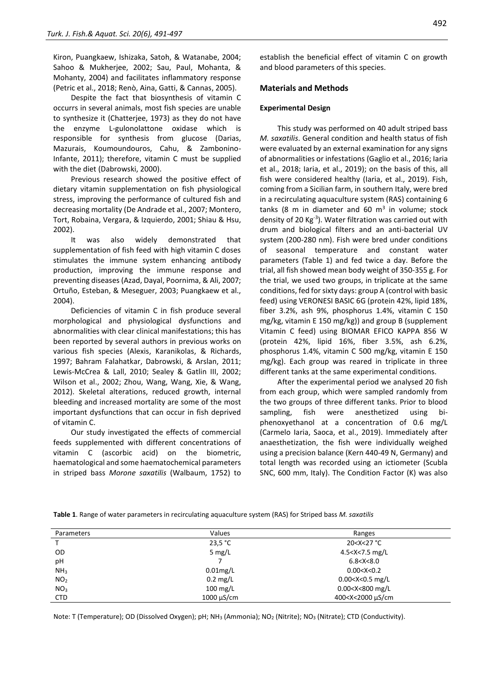Kiron, Puangkaew, Ishizaka, Satoh, & Watanabe, 2004; Sahoo & Mukherjee, 2002; Sau, Paul, Mohanta, & Mohanty, 2004) and facilitates inflammatory response (Petric et al., 2018; Renò, Aina, Gatti, & Cannas, 2005).

Despite the fact that biosynthesis of vitamin C occurrs in several animals, most fish species are unable to synthesize it (Chatterjee, 1973) as they do not have the enzyme L-gulonolattone oxidase which is responsible for synthesis from glucose (Darias, Mazurais, Koumoundouros, Cahu, & Zambonino-Infante, 2011); therefore, vitamin C must be supplied with the diet (Dabrowski, 2000).

Previous research showed the positive effect of dietary vitamin supplementation on fish physiological stress, improving the performance of cultured fish and decreasing mortality (De Andrade et al., 2007; Montero, Tort, Robaina, Vergara, & Izquierdo, 2001; Shiau & Hsu, 2002).

It was also widely demonstrated that supplementation of fish feed with high vitamin C doses stimulates the immune system enhancing antibody production, improving the immune response and preventing diseases (Azad, Dayal, Poornima, & Ali, 2007; Ortuño, Esteban, & Meseguer, 2003; Puangkaew et al., 2004).

Deficiencies of vitamin C in fish produce several morphological and physiological dysfunctions and abnormalities with clear clinical manifestations; this has been reported by several authors in previous works on various fish species (Alexis, Karanikolas, & Richards, 1997; Bahram Falahatkar, Dabrowski, & Arslan, 2011; Lewis‐McCrea & Lall, 2010; Sealey & Gatlin III, 2002; Wilson et al., 2002; Zhou, Wang, Wang, Xie, & Wang, 2012). Skeletal alterations, reduced growth, internal bleeding and increased mortality are some of the most important dysfunctions that can occur in fish deprived of vitamin C.

Our study investigated the effects of commercial feeds supplemented with different concentrations of vitamin C (ascorbic acid) on the biometric, haematological and some haematochemical parameters in striped bass *Morone saxatilis* (Walbaum, 1752) to

establish the beneficial effect of vitamin C on growth and blood parameters of this species.

#### **Materials and Methods**

#### **Experimental Design**

This study was performed on 40 adult striped bass *M. saxatilis*. General condition and health status of fish were evaluated by an external examination for any signs of abnormalities or infestations (Gaglio et al., 2016; Iaria et al., 2018; Iaria, et al., 2019); on the basis of this, all fish were considered healthy (Iaria, et al., 2019). Fish, coming from a Sicilian farm, in southern Italy, were bred in a recirculating aquaculture system (RAS) containing 6 tanks (8 m in diameter and 60  $m<sup>3</sup>$  in volume; stock density of 20 Kg-3 ). Water filtration was carried out with drum and biological filters and an anti-bacterial UV system (200-280 nm). Fish were bred under conditions of seasonal temperature and constant water parameters (Table 1) and fed twice a day. Before the trial, all fish showed mean body weight of 350-355 g. For the trial, we used two groups, in triplicate at the same conditions, fed for sixty days: group A (control with basic feed) using VERONESI BASIC 6G (protein 42%, lipid 18%, fiber 3.2%, ash 9%, phosphorus 1.4%, vitamin C 150 mg/kg, vitamin E 150 mg/kg)) and group B (supplement Vitamin C feed) using BIOMAR EFICO KAPPA 856 W (protein 42%, lipid 16%, fiber 3.5%, ash 6.2%, phosphorus 1.4%, vitamin C 500 mg/kg, vitamin E 150 mg/kg). Each group was reared in triplicate in three different tanks at the same experimental conditions.

After the experimental period we analysed 20 fish from each group, which were sampled randomly from the two groups of three different tanks. Prior to blood sampling, fish were anesthetized using biphenoxyethanol at a concentration of 0.6 mg/L (Carmelo Iaria, Saoca, et al., 2019). Immediately after anaesthetization, the fish were individually weighed using a precision balance (Kern 440-49 N, Germany) and total length was recorded using an ictiometer (Scubla SNC, 600 mm, Italy). The Condition Factor (K) was also

| Parameters      | Values             | Ranges                                   |
|-----------------|--------------------|------------------------------------------|
|                 | 23.5 °C            | 20 <x<27 td="" °c<=""></x<27>            |
| 0D              | 5 $mg/L$           | 4.5 <x<7.5 l<="" mg="" td=""></x<7.5>    |
| pH              |                    | 6.8 < X < 8.0                            |
| NH <sub>3</sub> | $0.01$ mg/L        | 0.00 < X < 0.2                           |
| NO <sub>2</sub> | $0.2 \text{ mg/L}$ | $0.00 < X < 0.5$ mg/L                    |
| NO <sub>3</sub> | $100 \text{ mg/L}$ | 0.00 <x<800 l<="" mg="" td=""></x<800>   |
| <b>CTD</b>      | 1000 uS/cm         | 400 <x<2000 cm<="" td="" µs=""></x<2000> |

**Table 1**. Range of water parameters in recirculating aquaculture system (RAS) for Striped bass *M. saxatilis*

Note: T (Temperature); OD (Dissolved Oxygen); pH; NH<sub>3</sub> (Ammonia); NO<sub>2</sub> (Nitrite); NO<sub>3</sub> (Nitrate); CTD (Conductivity).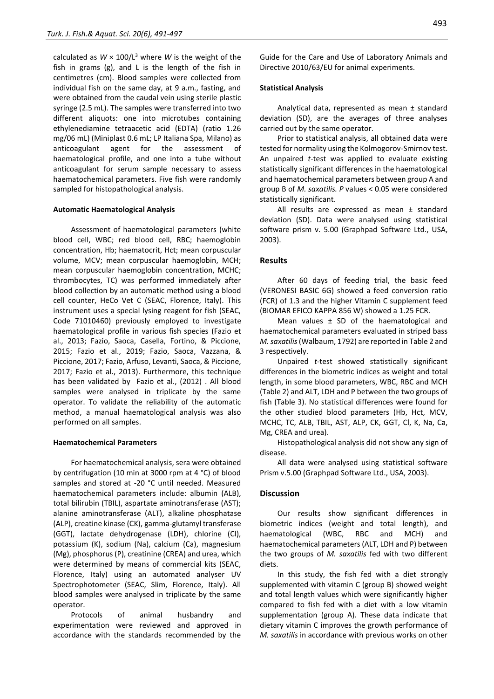calculated as  $W \times 100/L^3$  where *W* is the weight of the fish in grams (g), and L is the length of the fish in centimetres (cm). Blood samples were collected from individual fish on the same day, at 9 a.m., fasting, and were obtained from the caudal vein using sterile plastic syringe (2.5 mL). The samples were transferred into two different aliquots: one into microtubes containing ethylenediamine tetraacetic acid (EDTA) (ratio 1.26 mg/06 mL) (Miniplast 0.6 mL; LP Italiana Spa, Milano) as anticoagulant agent for the assessment of haematological profile, and one into a tube without anticoagulant for serum sample necessary to assess haematochemical parameters. Five fish were randomly sampled for histopathological analysis.

#### **Automatic Haematological Analysis**

Assessment of haematological parameters (white blood cell, WBC; red blood cell, RBC; haemoglobin concentration, Hb; haematocrit, Hct; mean corpuscular volume, MCV; mean corpuscular haemoglobin, MCH; mean corpuscular haemoglobin concentration, MCHC; thrombocytes, TC) was performed immediately after blood collection by an automatic method using a blood cell counter, HeCo Vet C (SEAC, Florence, Italy). This instrument uses a special lysing reagent for fish (SEAC, Code 71010460) previously employed to investigate haematological profile in various fish species (Fazio et al., 2013; Fazio, Saoca, Casella, Fortino, & Piccione, 2015; Fazio et al., 2019; Fazio, Saoca, Vazzana, & Piccione, 2017; Fazio, Arfuso, Levanti, Saoca, & Piccione, 2017; Fazio et al., 2013). Furthermore, this technique has been validated by Fazio et al., (2012) . All blood samples were analysed in triplicate by the same operator. To validate the reliability of the automatic method, a manual haematological analysis was also performed on all samples.

#### **Haematochemical Parameters**

For haematochemical analysis, sera were obtained by centrifugation (10 min at 3000 rpm at 4 °C) of blood samples and stored at -20 °C until needed. Measured haematochemical parameters include: albumin (ALB), total bilirubin (TBIL), aspartate aminotransferase (AST); alanine aminotransferase (ALT), alkaline phosphatase (ALP), creatine kinase (CK), gamma-glutamyl transferase (GGT), lactate dehydrogenase (LDH), chlorine (Cl), potassium (K), sodium (Na), calcium (Ca), magnesium (Mg), phosphorus (P), creatinine (CREA) and urea, which were determined by means of commercial kits (SEAC, Florence, Italy) using an automated analyser UV Spectrophotometer (SEAC, Slim, Florence, Italy). All blood samples were analysed in triplicate by the same operator.

Protocols of animal husbandry and experimentation were reviewed and approved in accordance with the standards recommended by the Guide for the Care and Use of Laboratory Animals and Directive 2010/63/EU for animal experiments.

#### **Statistical Analysis**

Analytical data, represented as mean ± standard deviation (SD), are the averages of three analyses carried out by the same operator.

Prior to statistical analysis, all obtained data were tested for normality using the Kolmogorov-Smirnov test. An unpaired *t*-test was applied to evaluate existing statistically significant differences in the haematological and haematochemical parameters between group A and group B of *M. saxatilis. P* values < 0.05 were considered statistically significant.

All results are expressed as mean ± standard deviation (SD). Data were analysed using statistical software prism v. 5.00 (Graphpad Software Ltd., USA, 2003).

#### **Results**

After 60 days of feeding trial, the basic feed (VERONESI BASIC 6G) showed a feed conversion ratio (FCR) of 1.3 and the higher Vitamin C supplement feed (BIOMAR EFICO KAPPA 856 W) showed a 1.25 FCR.

Mean values  $\pm$  SD of the haematological and haematochemical parameters evaluated in striped bass *M. saxatilis*(Walbaum, 1792) are reported in Table 2 and 3 respectively.

Unpaired *t*-test showed statistically significant differences in the biometric indices as weight and total length, in some blood parameters, WBC, RBC and MCH (Table 2) and ALT, LDH and P between the two groups of fish (Table 3). No statistical differences were found for the other studied blood parameters (Hb, Hct, MCV, MCHC, TC, ALB, TBIL, AST, ALP, CK, GGT, Cl, K, Na, Ca, Mg, CREA and urea).

Histopathological analysis did not show any sign of disease.

All data were analysed using statistical software Prism v.5.00 (Graphpad Software Ltd., USA, 2003).

#### **Discussion**

Our results show significant differences in biometric indices (weight and total length), and haematological (WBC, RBC and MCH) and haematochemical parameters (ALT, LDH and P) between the two groups of *M. saxatilis* fed with two different diets.

In this study, the fish fed with a diet strongly supplemented with vitamin C (group B) showed weight and total length values which were significantly higher compared to fish fed with a diet with a low vitamin supplementation (group A). These data indicate that dietary vitamin C improves the growth performance of *M. saxatilis* in accordance with previous works on other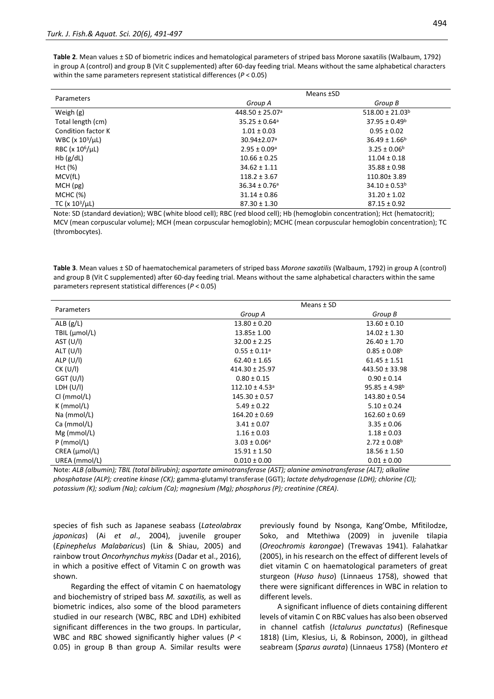**Table 2**. Mean values ± SD of biometric indices and hematological parameters of striped bass Morone saxatilis (Walbaum, 1792) in group A (control) and group B (Vit C supplemented) after 60-day feeding trial. Means without the same alphabetical characters within the same parameters represent statistical differences (*P* < 0.05)

|                       | Means <b>±SD</b>              |                      |  |
|-----------------------|-------------------------------|----------------------|--|
| Parameters            | Group A                       | Group B              |  |
| Weigh $(g)$           | 448.50 ± 25.07 <sup>a</sup>   | $518.00 \pm 21.03^b$ |  |
| Total length (cm)     | $35.25 \pm 0.64$ <sup>a</sup> | $37.95 \pm 0.49^b$   |  |
| Condition factor K    | $1.01 \pm 0.03$               | $0.95 \pm 0.02$      |  |
| WBC ( $x 10^3/\mu$ L) | 30.94±2.07 <sup>a</sup>       | $36.49 \pm 1.66^b$   |  |
| RBC ( $x 10^6/\mu$ L) | $2.95 \pm 0.09$ <sup>a</sup>  | $3.25 \pm 0.06^b$    |  |
| Hb(g/dL)              | $10.66 \pm 0.25$              | $11.04 \pm 0.18$     |  |
| Hct (%)               | $34.62 \pm 1.11$              | $35.88 \pm 0.98$     |  |
| MCV(fL)               | $118.2 \pm 3.67$              | 110.80±3.89          |  |
| MCH(pg)               | $36.34 \pm 0.76$ <sup>a</sup> | $34.10 \pm 0.53^b$   |  |
| MCHC (%)              | $31.14 \pm 0.86$              | $31.20 \pm 1.02$     |  |
| TC ( $x 10^3/\mu$ L)  | $87.30 \pm 1.30$              | $87.15 \pm 0.92$     |  |

Note: SD (standard deviation); WBC (white blood cell); RBC (red blood cell); Hb (hemoglobin concentration); Hct (hematocrit); MCV (mean corpuscular volume); MCH (mean corpuscular hemoglobin); MCHC (mean corpuscular hemoglobin concentration); TC (thrombocytes).

**Table 3**. Mean values ± SD of haematochemical parameters of striped bass *Morone saxatilis* (Walbaum, 1792) in group A (control) and group B (Vit C supplemented) after 60-day feeding trial. Means without the same alphabetical characters within the same parameters represent statistical differences (*P* < 0.05)

| Parameters    | Means ± SD                     |                         |  |
|---------------|--------------------------------|-------------------------|--|
|               | Group A                        | Group B                 |  |
| ALB $(g/L)$   | $13.80 \pm 0.20$               | $13.60 \pm 0.10$        |  |
| TBIL (µmol/L) | 13.85± 1.00                    | $14.02 \pm 1.30$        |  |
| AST $(U/I)$   | $32.00 \pm 2.25$               | $26.40 \pm 1.70$        |  |
| ALT (U/I)     | $0.55 \pm 0.11^a$              | $0.85 \pm 0.08^{\rm b}$ |  |
| ALP $(U/I)$   | $62.40 \pm 1.65$               | $61.45 \pm 1.51$        |  |
| CK (U/I)      | $414.30 \pm 25.97$             | $443.50 \pm 33.98$      |  |
| GGT (U/I)     | $0.80 \pm 0.15$                | $0.90 \pm 0.14$         |  |
| LDH $(U/I)$   | $112.10 \pm 4.53$ <sup>a</sup> | $95.85 \pm 4.98^b$      |  |
| CI (mmol/L)   | $145.30 \pm 0.57$              | $143.80 \pm 0.54$       |  |
| $K$ (mmol/L)  | $5.49 \pm 0.22$                | $5.10 \pm 0.24$         |  |
| Na (mmol/L)   | $164.20 \pm 0.69$              | $162.60 \pm 0.69$       |  |
| Ca (mmol/L)   | $3.41 \pm 0.07$                | $3.35 \pm 0.06$         |  |
| $Mg$ (mmol/L) | $1.16 \pm 0.03$                | $1.18 \pm 0.03$         |  |
| $P$ (mmol/L)  | $3.03 \pm 0.06^a$              | $2.72 \pm 0.08^{\rm b}$ |  |
| CREA (µmol/L) | $15.91 \pm 1.50$               | $18.56 \pm 1.50$        |  |
| UREA (mmol/L) | $0.010 \pm 0.00$               | $0.01 \pm 0.00$         |  |

Note: *ALB (albumin); TBIL (total bilirubin); aspartate aminotransferase (AST); alanine aminotransferase (ALT); alkaline phosphatase (ALP); creatine kinase (CK);* gamma-glutamyl transferase (GGT); *lactate dehydrogenase (LDH); chlorine (Cl); potassium (K); sodium (Na); calcium (Ca); magnesium (Mg); phosphorus (P); creatinine (CREA).*

species of fish such as Japanese seabass (*Lateolabrax japonicas*) (Ai *et al*., 2004), juvenile grouper (*Epinephelus Malabaricus*) (Lin & Shiau, 2005) and rainbow trout *Oncorhynchus mykiss* (Dadar et al., 2016), in which a positive effect of Vitamin C on growth was shown.

Regarding the effect of vitamin C on haematology and biochemistry of striped bass *M. saxatilis,* as well as biometric indices, also some of the blood parameters studied in our research (WBC, RBC and LDH) exhibited significant differences in the two groups. In particular, WBC and RBC showed significantly higher values (*P* < 0.05) in group B than group A. Similar results were

previously found by Nsonga, Kang'Ombe, Mfitilodze, Soko, and Mtethiwa (2009) in juvenile tilapia (*Oreochromis karongae*) (Trewavas 1941). Falahatkar (2005), in his research on the effect of different levels of diet vitamin C on haematological parameters of great sturgeon (*Huso huso*) (Linnaeus 1758), showed that there were significant differences in WBC in relation to different levels.

A significant influence of diets containing different levels of vitamin C on RBC values has also been observed in channel catfish (*Ictalurus punctatus*) (Refinesque 1818) (Lim, Klesius, Li, & Robinson, 2000), in gilthead seabream (*Sparus aurata*) (Linnaeus 1758) (Montero *et*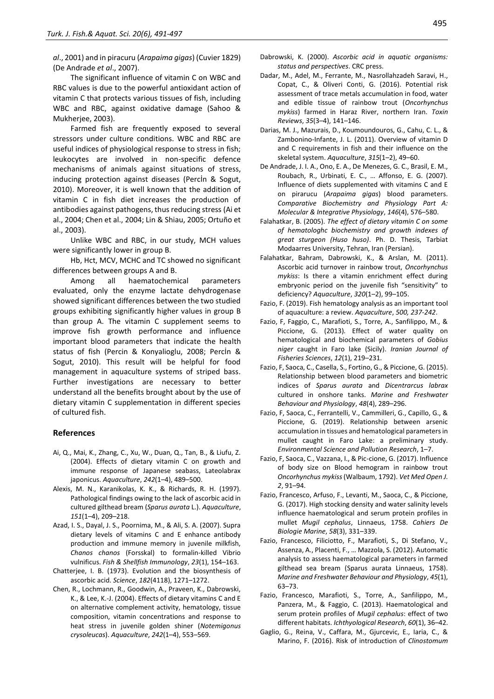*al*., 2001) and in piracuru (*Arapaima gigas*) (Cuvier 1829) (De Andrade *et al*., 2007).

The significant influence of vitamin C on WBC and RBC values is due to the powerful antioxidant action of vitamin C that protects various tissues of fish, including WBC and RBC, against oxidative damage (Sahoo & Mukherjee, 2003).

Farmed fish are frequently exposed to several stressors under culture conditions. WBC and RBC are useful indices of physiological response to stress in fish; leukocytes are involved in non-specific defence mechanisms of animals against situations of stress, inducing protection against diseases (Percİn & Sogut, 2010). Moreover, it is well known that the addition of vitamin C in fish diet increases the production of antibodies against pathogens, thus reducing stress (Ai et al., 2004; Chen et al., 2004; Lin & Shiau, 2005; Ortuño et al., 2003).

Unlike WBC and RBC, in our study, MCH values were significantly lower in group B.

Hb, Hct, MCV, MCHC and TC showed no significant differences between groups A and B.

Among all haematochemical parameters evaluated, only the enzyme lactate dehydrogenase showed significant differences between the two studied groups exhibiting significantly higher values in group B than group A. The vitamin C supplement seems to improve fish growth performance and influence important blood parameters that indicate the health status of fish (Percin & Konyalioglu, 2008; Percİn & Sogut, 2010). This result will be helpful for food management in aquaculture systems of striped bass. Further investigations are necessary to better understand all the benefits brought about by the use of dietary vitamin C supplementation in different species of cultured fish.

#### **References**

- Ai, Q., Mai, K., Zhang, C., Xu, W., Duan, Q., Tan, B., & Liufu, Z. (2004). Effects of dietary vitamin C on growth and immune response of Japanese seabass, Lateolabrax japonicus. *Aquaculture*, *242*(1–4), 489–500.
- Alexis, M. N., Karanikolas, K. K., & Richards, R. H. (1997). Pathological findings owing to the lack of ascorbic acid in cultured gilthead bream (*Sparus aurata* L.). *Aquaculture*, *151*(1–4), 209–218.
- Azad, I. S., Dayal, J. S., Poornima, M., & Ali, S. A. (2007). Supra dietary levels of vitamins C and E enhance antibody production and immune memory in juvenile milkfish, *Chanos chanos* (Forsskal) to formalin-killed Vibrio vulnificus. *Fish & Shellfish Immunology*, *23*(1), 154–163.
- Chatterjee, I. B. (1973). Evolution and the biosynthesis of ascorbic acid. *Science*, *182*(4118), 1271–1272.
- Chen, R., Lochmann, R., Goodwin, A., Praveen, K., Dabrowski, K., & Lee, K.-J. (2004). Effects of dietary vitamins C and E on alternative complement activity, hematology, tissue composition, vitamin concentrations and response to heat stress in juvenile golden shiner (*Notemigonus crysoleucas*). *Aquaculture*, *242*(1–4), 553–569.
- Dadar, M., Adel, M., Ferrante, M., Nasrollahzadeh Saravi, H., Copat, C., & Oliveri Conti, G. (2016). Potential risk assessment of trace metals accumulation in food, water and edible tissue of rainbow trout (*Oncorhynchus mykiss*) farmed in Haraz River, northern Iran. *Toxin Reviews*, *35*(3–4), 141–146.
- Darias, M. J., Mazurais, D., Koumoundouros, G., Cahu, C. L., & Zambonino-Infante, J. L. (2011). Overview of vitamin D and C requirements in fish and their influence on the skeletal system. *Aquaculture*, *315*(1–2), 49–60.
- De Andrade, J. I. A., Ono, E. A., De Menezes, G. C., Brasil, E. M., Roubach, R., Urbinati, E. C., … Affonso, E. G. (2007). Influence of diets supplemented with vitamins C and E on pirarucu (*Arapaima gigas*) blood parameters. *Comparative Biochemistry and Physiology Part A: Molecular & Integrative Physiology*, *146*(4), 576–580.
- Falahatkar, B. (2005). *The effect of dietary vitamin C on some of hematologhc biochemistry and growth indexes of great sturgeon (Huso huso)*. Ph. D. Thesis, Tarbiat Modaarres University, Tehran, Iran (Persian).
- Falahatkar, Bahram, Dabrowski, K., & Arslan, M. (2011). Ascorbic acid turnover in rainbow trout, *Oncorhynchus mykiss*: Is there a vitamin enrichment effect during embryonic period on the juvenile fish "sensitivity" to deficiency? *Aquaculture*, *320*(1–2), 99–105.
- Fazio, F. (2019). Fish hematology analysis as an important tool of aquaculture: a review. *Aquaculture*, *500, 237-242*.
- Fazio, F, Faggio, C., Marafioti, S., Torre, A., Sanfilippo, M., & Piccione, G. (2013). Effect of water quality on hematological and biochemical parameters of *Gobius niger* caught in Faro lake (Sicily). *Iranian Journal of Fisheries Sciences*, *12*(1), 219–231.
- Fazio, F, Saoca, C., Casella, S., Fortino, G., & Piccione, G. (2015). Relationship between blood parameters and biometric indices of *Sparus aurata* and *Dicentrarcus labrax* cultured in onshore tanks. *Marine and Freshwater Behaviour and Physiology*, *48*(4), 289–296.
- Fazio, F, Saoca, C., Ferrantelli, V., Cammilleri, G., Capillo, G., & Piccione, G. (2019). Relationship between arsenic accumulation in tissues and hematological parameters in mullet caught in Faro Lake: a preliminary study. *Environmental Science and Pollution Research*, 1–7.
- Fazio, F, Saoca, C., Vazzana, I., & Pic-cione, G. (2017). Influence of body size on Blood hemogram in rainbow trout *Oncorhynchus mykiss*(Walbaum, 1792). *Vet Med Open J. 2*, 91–94.
- Fazio, Francesco, Arfuso, F., Levanti, M., Saoca, C., & Piccione, G. (2017). High stocking density and water salinity levels influence haematological and serum protein profiles in mullet *Mugil cephalus*, Linnaeus, 1758. *Cahiers De Biologie Marine*, *58*(3), 331–339.
- Fazio, Francesco, Filiciotto, F., Marafioti, S., Di Stefano, V., Assenza, A., Placenti, F., … Mazzola, S. (2012). Automatic analysis to assess haematological parameters in farmed gilthead sea bream (Sparus aurata Linnaeus, 1758). *Marine and Freshwater Behaviour and Physiology*, *45*(1), 63–73.
- Fazio, Francesco, Marafioti, S., Torre, A., Sanfilippo, M., Panzera, M., & Faggio, C. (2013). Haematological and serum protein profiles of *Mugil cephalus*: effect of two different habitats. *Ichthyological Research*, *60*(1), 36–42.
- Gaglio, G., Reina, V., Caffara, M., Gjurcevic, E., Iaria, C., & Marino, F. (2016). Risk of introduction of *Clinostomum*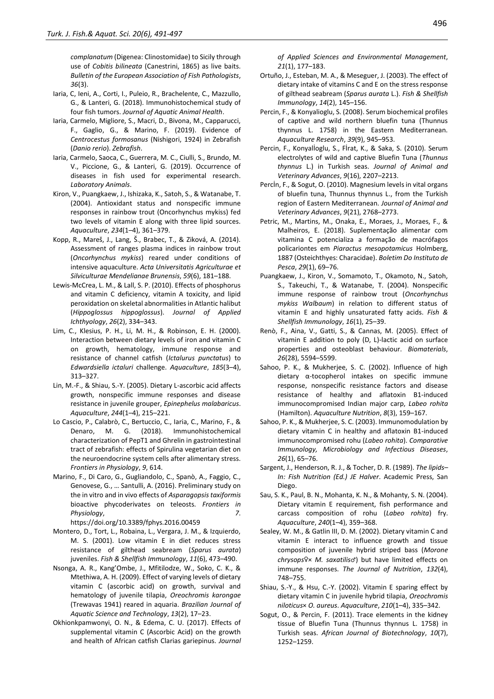*complanatum* (Digenea: Clinostomidae) to Sicily through use of *Cobitis bilineata* (Canestrini, 1865) as live baits. *Bulletin of the European Association of Fish Pathologists*, *36*(3).

- Iaria, C, Ieni, A., Corti, I., Puleio, R., Brachelente, C., Mazzullo, G., & Lanteri, G. (2018). Immunohistochemical study of four fish tumors. *Journal of Aquatic Animal Health*.
- Iaria, Carmelo, Migliore, S., Macri, D., Bivona, M., Capparucci, F., Gaglio, G., & Marino, F. (2019). Evidence of *Centrocestus formosanus* (Nishigori, 1924) in Zebrafish (*Danio rerio*). *Zebrafish*.
- Iaria, Carmelo, Saoca, C., Guerrera, M. C., Ciulli, S., Brundo, M. V., Piccione, G., & Lanteri, G. (2019). Occurrence of diseases in fish used for experimental research. *Laboratory Animals*.
- Kiron, V., Puangkaew, J., Ishizaka, K., Satoh, S., & Watanabe, T. (2004). Antioxidant status and nonspecific immune responses in rainbow trout (Oncorhynchus mykiss) fed two levels of vitamin E along with three lipid sources. *Aquaculture*, *234*(1–4), 361–379.
- Kopp, R., Mareš, J., Lang, Š., Brabec, T., & Ziková, A. (2014). Assessment of ranges plasma indices in rainbow trout (*Oncorhynchus mykiss*) reared under conditions of intensive aquaculture. *Acta Universitatis Agriculturae et Silviculturae Mendelianae Brunensis*, *59*(6), 181–188.
- Lewis‐McCrea, L. M., & Lall, S. P. (2010). Effects of phosphorus and vitamin C deficiency, vitamin A toxicity, and lipid peroxidation on skeletal abnormalities in Atlantic halibut (*Hippoglossus hippoglossus*). *Journal of Applied Ichthyology*, *26*(2), 334–343.
- Lim, C., Klesius, P. H., Li, M. H., & Robinson, E. H. (2000). Interaction between dietary levels of iron and vitamin C on growth, hematology, immune response and resistance of channel catfish (*Ictalurus punctatus*) to *Edwardsiella ictaluri* challenge. *Aquaculture*, *185*(3–4), 313–327.
- Lin, M.-F., & Shiau, S.-Y. (2005). Dietary L-ascorbic acid affects growth, nonspecific immune responses and disease resistance in juvenile grouper, *Epinephelus malabaricus*. *Aquaculture*, *244*(1–4), 215–221.
- Lo Cascio, P., Calabrò, C., Bertuccio, C., Iaria, C., Marino, F., & Denaro, M. G. (2018). Immunohistochemical characterization of PepT1 and Ghrelin in gastrointestinal tract of zebrafish: effects of Spirulina vegetarian diet on the neuroendocrine system cells after alimentary stress. *Frontiers in Physiology*, *9*, 614.
- Marino, F., Di Caro, G., Gugliandolo, C., Spanò, A., Faggio, C., Genovese, G., … Santulli, A. (2016). Preliminary study on the in vitro and in vivo effects of *Asparagopsis taxiformis* bioactive phycoderivates on teleosts. *Frontiers in Physiology*, *7*.

https://doi.org/10.3389/fphys.2016.00459

- Montero, D., Tort, L., Robaina, L., Vergara, J. M., & Izquierdo, M. S. (2001). Low vitamin E in diet reduces stress resistance of gilthead seabream (*Sparus aurata*) juveniles. *Fish & Shellfish Immunology*, *11*(6), 473–490.
- Nsonga, A. R., Kang'Ombe, J., Mfitilodze, W., Soko, C. K., & Mtethiwa, A. H. (2009). Effect of varying levels of dietary vitamin C (ascorbic acid) on growth, survival and hematology of juvenile tilapia, *Oreochromis karongae* (Trewavas 1941) reared in aquaria. *Brazilian Journal of Aquatic Science and Technology*, *13*(2), 17–23.
- Okhionkpamwonyi, O. N., & Edema, C. U. (2017). Effects of supplemental vitamin C (Ascorbic Acid) on the growth and health of African catfish Clarias gariepinus. *Journal*

*of Applied Sciences and Environmental Management*, *21*(1), 177–183.

- Ortuño, J., Esteban, M. A., & Meseguer, J. (2003). The effect of dietary intake of vitamins C and E on the stress response of gilthead seabream (*Sparus aurata* L.). *Fish & Shellfish Immunology*, *14*(2), 145–156.
- Percin, F., & Konyalioglu, S. (2008). Serum biochemical profiles of captive and wild northern bluefin tuna (Thunnus thynnus L. 1758) in the Eastern Mediterranean. *Aquaculture Research*, *39*(9), 945–953.
- Percin, F., Konyalİoglu, S., Fİrat, K., & Saka, S. (2010). Serum electrolytes of wild and captive Bluefin Tuna (*Thunnus thynnus* L.) in Turkish seas. *Journal of Animal and Veterinary Advances*, *9*(16), 2207–2213.
- Percin, F., & Sogut, O. (2010). Magnesium levels in vital organs of bluefin tuna, Thunnus thynnus L., from the Turkish region of Eastern Mediterranean. *Journal of Animal and Veterinary Advances*, *9*(21), 2768–2773.
- Petric, M., Martins, M., Onaka, E., Moraes, J., Moraes, F., & Malheiros, E. (2018). Suplementação alimentar com vitamina C potencializa a formação de macrófagos policariontes em *Piaractus mesopotamicus* Holmberg, 1887 (Osteichthyes: Characidae). *Boletim Do Instituto de Pesca*, *29*(1), 69–76.
- Puangkaew, J., Kiron, V., Somamoto, T., Okamoto, N., Satoh, S., Takeuchi, T., & Watanabe, T. (2004). Nonspecific immune response of rainbow trout (*Oncorhynchus mykiss Walbaum*) in relation to different status of vitamin E and highly unsaturated fatty acids. *Fish & Shellfish Immunology*, *16*(1), 25–39.
- Renò, F., Aina, V., Gatti, S., & Cannas, M. (2005). Effect of vitamin E addition to poly (D, L)-lactic acid on surface properties and osteoblast behaviour. *Biomaterials*, *26*(28), 5594–5599.
- Sahoo, P. K., & Mukherjee, S. C. (2002). Influence of high dietary α‐tocopherol intakes on specific immune response, nonspecific resistance factors and disease resistance of healthy and aflatoxin B1‐induced immunocompromised Indian major carp, *Labeo rohita* (Hamilton). *Aquaculture Nutrition*, *8*(3), 159–167.
- Sahoo, P. K., & Mukherjee, S. C. (2003). Immunomodulation by dietary vitamin C in healthy and aflatoxin B1-induced immunocompromised rohu (*Labeo rohita*). *Comparative Immunology, Microbiology and Infectious Diseases*, *26*(1), 65–76.
- Sargent, J., Henderson, R. J., & Tocher, D. R. (1989). *The lipids– In: Fish Nutrition (Ed.) JE Halver*. Academic Press, San Diego.
- Sau, S. K., Paul, B. N., Mohanta, K. N., & Mohanty, S. N. (2004). Dietary vitamin E requirement, fish performance and carcass composition of rohu (*Labeo rohita*) fry. *Aquaculture*, *240*(1–4), 359–368.
- Sealey, W. M., & Gatlin III, D. M. (2002). Dietary vitamin C and vitamin E interact to influence growth and tissue composition of juvenile hybrid striped bass (*Morone chrysops*♀× *M. saxatilis*♂) but have limited effects on immune responses. *The Journal of Nutrition*, *132*(4), 748–755.
- Shiau, S.-Y., & Hsu, C.-Y. (2002). Vitamin E sparing effect by dietary vitamin C in juvenile hybrid tilapia, *Oreochromis niloticus*× *O. aureus*. *Aquaculture*, *210*(1–4), 335–342.
- Sogut, O., & Percin, F. (2011). Trace elements in the kidney tissue of Bluefin Tuna (Thunnus thynnus L. 1758) in Turkish seas. *African Journal of Biotechnology*, *10*(7), 1252–1259.